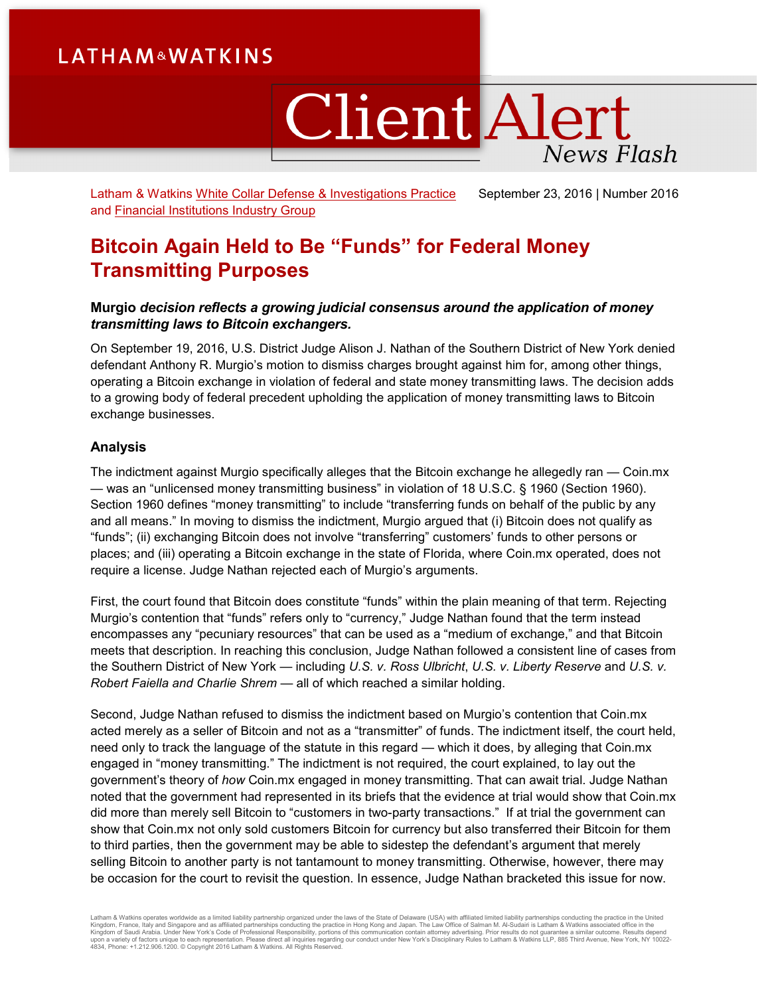# **LATHAM&WATKINS**

# **Client Alert News Flash**

Latham & Watkins [White Collar Defense & Investigations Practice](https://www.lw.com/practices/WhiteCollarDefenseandInvestigations)  and [Financial Institutions Industry Group](https://www.lw.com/industries/FinancialInstitutions) September 23, 2016 | Number 2016

## **Bitcoin Again Held to Be "Funds" for Federal Money Transmitting Purposes**

## **Murgio** *decision reflects a growing judicial consensus around the application of money transmitting laws to Bitcoin exchangers.*

On September 19, 2016, U.S. District Judge Alison J. Nathan of the Southern District of New York denied defendant Anthony R. Murgio's motion to dismiss charges brought against him for, among other things, operating a Bitcoin exchange in violation of federal and state money transmitting laws. The decision adds to a growing body of federal precedent upholding the application of money transmitting laws to Bitcoin exchange businesses.

### **Analysis**

The indictment against Murgio specifically alleges that the Bitcoin exchange he allegedly ran — Coin.mx — was an "unlicensed money transmitting business" in violation of 18 U.S.C. § 1960 (Section 1960). Section 1960 defines "money transmitting" to include "transferring funds on behalf of the public by any and all means." In moving to dismiss the indictment, Murgio argued that (i) Bitcoin does not qualify as "funds"; (ii) exchanging Bitcoin does not involve "transferring" customers' funds to other persons or places; and (iii) operating a Bitcoin exchange in the state of Florida, where Coin.mx operated, does not require a license. Judge Nathan rejected each of Murgio's arguments.

First, the court found that Bitcoin does constitute "funds" within the plain meaning of that term. Rejecting Murgio's contention that "funds" refers only to "currency," Judge Nathan found that the term instead encompasses any "pecuniary resources" that can be used as a "medium of exchange," and that Bitcoin meets that description. In reaching this conclusion, Judge Nathan followed a consistent line of cases from the Southern District of New York — including *U.S. v. Ross Ulbricht*, *U.S. v. Liberty Reserve* and *U.S. v. Robert Faiella and Charlie Shrem* — all of which reached a similar holding.

Second, Judge Nathan refused to dismiss the indictment based on Murgio's contention that Coin.mx acted merely as a seller of Bitcoin and not as a "transmitter" of funds. The indictment itself, the court held, need only to track the language of the statute in this regard — which it does, by alleging that Coin.mx engaged in "money transmitting." The indictment is not required, the court explained, to lay out the government's theory of *how* Coin.mx engaged in money transmitting. That can await trial. Judge Nathan noted that the government had represented in its briefs that the evidence at trial would show that Coin.mx did more than merely sell Bitcoin to "customers in two-party transactions." If at trial the government can show that Coin.mx not only sold customers Bitcoin for currency but also transferred their Bitcoin for them to third parties, then the government may be able to sidestep the defendant's argument that merely selling Bitcoin to another party is not tantamount to money transmitting. Otherwise, however, there may be occasion for the court to revisit the question. In essence, Judge Nathan bracketed this issue for now.

Latham & Watkins operates wordwide as a limited liability partnership organized under the laws of the State of Delaware (USA) with affiliated plimited liability partnerships conducting the practice in the United Limited Li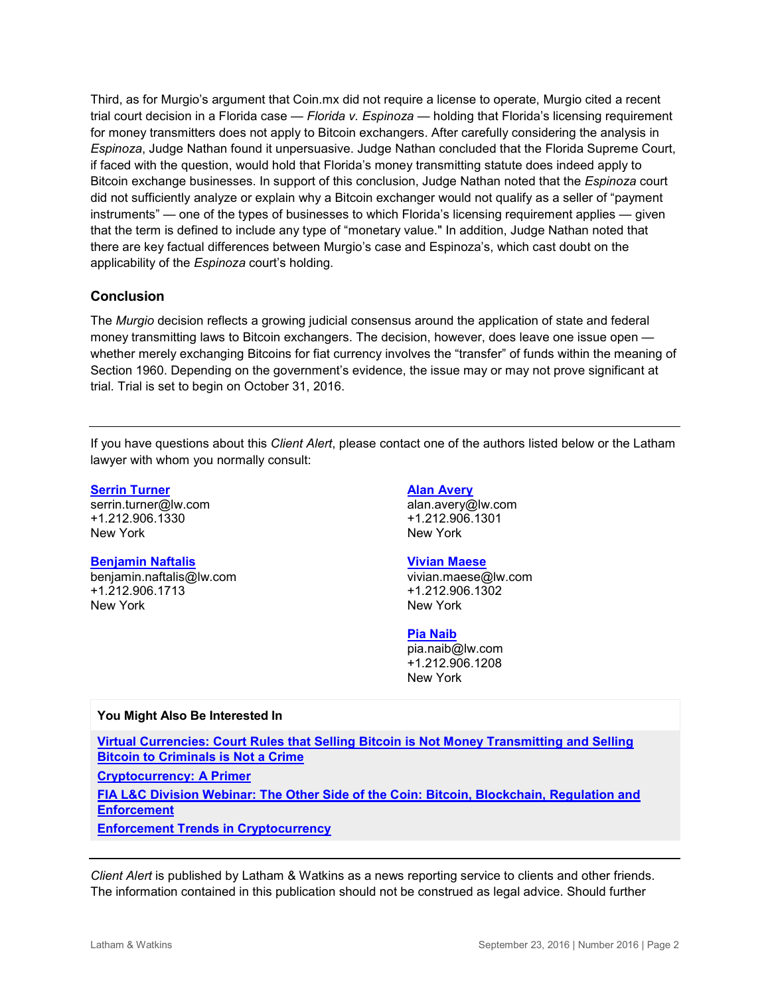Third, as for Murgio's argument that Coin.mx did not require a license to operate, Murgio cited a recent trial court decision in a Florida case — *Florida v. Espinoza* — holding that Florida's licensing requirement for money transmitters does not apply to Bitcoin exchangers. After carefully considering the analysis in *Espinoza*, Judge Nathan found it unpersuasive. Judge Nathan concluded that the Florida Supreme Court, if faced with the question, would hold that Florida's money transmitting statute does indeed apply to Bitcoin exchange businesses. In support of this conclusion, Judge Nathan noted that the *Espinoza* court did not sufficiently analyze or explain why a Bitcoin exchanger would not qualify as a seller of "payment instruments" — one of the types of businesses to which Florida's licensing requirement applies — given that the term is defined to include any type of "monetary value." In addition, Judge Nathan noted that there are key factual differences between Murgio's case and Espinoza's, which cast doubt on the applicability of the *Espinoza* court's holding.

#### **Conclusion**

The *Murgio* decision reflects a growing judicial consensus around the application of state and federal money transmitting laws to Bitcoin exchangers. The decision, however, does leave one issue open whether merely exchanging Bitcoins for fiat currency involves the "transfer" of funds within the meaning of Section 1960. Depending on the government's evidence, the issue may or may not prove significant at trial. Trial is set to begin on October 31, 2016.

If you have questions about this *Client Alert*, please contact one of the authors listed below or the Latham lawyer with whom you normally consult:

#### **[Serrin Turner](https://www.lw.com/people/serrin-turner)**

[serrin.turner@lw.com](mailto:serrin.turner@lw.com) +1.212.906.1330 New York

#### **[Benjamin Naftalis](https://www.lw.com/people/benjamin-naftalis)**

[benjamin.naftalis@lw.com](mailto:benjamin.naftalis@lw.com) +1.212.906.1713 New York

#### **[Alan Avery](https://www.lw.com/people/alan-avery)**

[alan.avery@lw.com](mailto:alan.avery@lw.com) +1.212.906.1301 New York

#### **[Vivian Maese](https://www.lw.com/people/vivian-maese)**

[vivian.maese@lw.com](mailto:vivian.maese@lw.com) +1.212.906.1302 New York

#### **[Pia Naib](https://www.lw.com/people/pia-naib)**

[pia.naib@lw.com](mailto:pia.naib@lw.com) +1.212.906.1208 New York

#### **You Might Also Be Interested In**

**[Virtual Currencies: Court Rules that Selling Bitcoin is Not Money Transmitting and Selling](https://www.lw.com/thoughtLeadership/virtual-currencies-court-rules-selling-bitcoin-money-transmitting-not-crime)  [Bitcoin to Criminals is Not a Crime](https://www.lw.com/thoughtLeadership/virtual-currencies-court-rules-selling-bitcoin-money-transmitting-not-crime)**

**[Cryptocurrency: A Primer](https://www.lw.com/thoughtLeadership/cryptocurrency-a-primer)**

**FIA [L&C Division Webinar: The Other Side of the Coin: Bitcoin, Blockchain, Regulation and](https://lc.fia.org/events/other-side-coin-bitcoin-blockchain-regulation-and-enforcement)  [Enforcement](https://lc.fia.org/events/other-side-coin-bitcoin-blockchain-regulation-and-enforcement)**

**[Enforcement Trends in Cryptocurrency](https://www.lw.com/thoughtLeadership/cryptocurrency-enforcement-trends)**

*Client Alert* is published by Latham & Watkins as a news reporting service to clients and other friends. The information contained in this publication should not be construed as legal advice. Should further